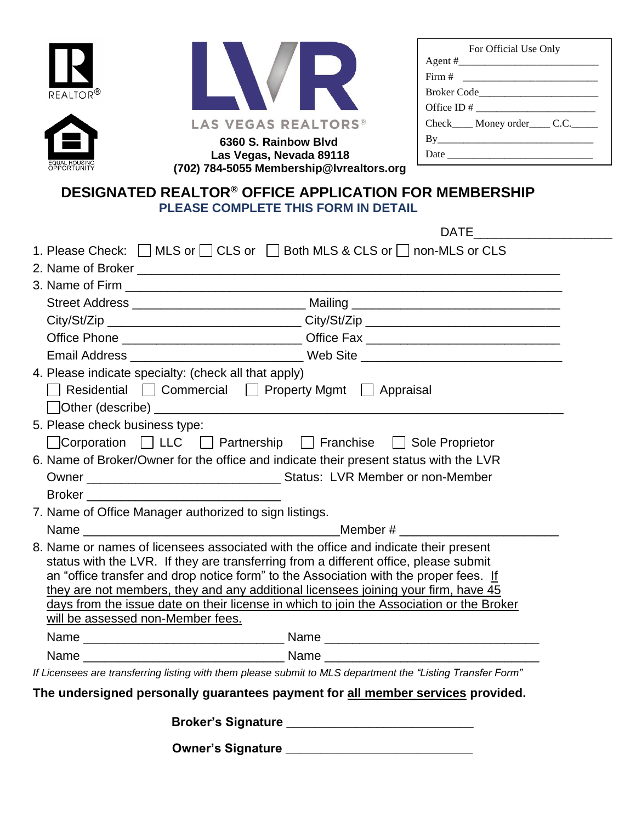





| 6360 S. Rainbow Blyd                     |
|------------------------------------------|
| Las Vegas, Nevada 89118                  |
| (702) 784-5055 Membership@Ivrealtors.org |

| For Official Use Only                 |
|---------------------------------------|
|                                       |
| Firm # ______________________         |
| Broker Code                           |
|                                       |
| Check_____ Money order_____ C.C._____ |
| By                                    |
|                                       |

## **DESIGNATED REALTOR® OFFICE APPLICATION FOR MEMBERSHIP PLEASE COMPLETE THIS FORM IN DETAIL**

|                                                                                 | <b>DATE</b>                                                                                                                                                                                                                                                                                                                                                                                                                                            |  |  |
|---------------------------------------------------------------------------------|--------------------------------------------------------------------------------------------------------------------------------------------------------------------------------------------------------------------------------------------------------------------------------------------------------------------------------------------------------------------------------------------------------------------------------------------------------|--|--|
|                                                                                 | 1. Please Check: MLS or CLS or Both MLS & CLS or non-MLS or CLS                                                                                                                                                                                                                                                                                                                                                                                        |  |  |
|                                                                                 |                                                                                                                                                                                                                                                                                                                                                                                                                                                        |  |  |
|                                                                                 |                                                                                                                                                                                                                                                                                                                                                                                                                                                        |  |  |
|                                                                                 |                                                                                                                                                                                                                                                                                                                                                                                                                                                        |  |  |
|                                                                                 | City/St/Zip __________________________________City/St/Zip ______________________                                                                                                                                                                                                                                                                                                                                                                       |  |  |
|                                                                                 | Office Phone ___________________________Office Fax _____________________________                                                                                                                                                                                                                                                                                                                                                                       |  |  |
|                                                                                 | Email Address entry and the Web Site entry and the Contract of the Contract of the Contract of the Contract of the Contract of the Contract of the Contract of the Contract of the Contract of the Contract of the Contract of                                                                                                                                                                                                                         |  |  |
| 4. Please indicate specialty: (check all that apply)                            |                                                                                                                                                                                                                                                                                                                                                                                                                                                        |  |  |
|                                                                                 | □ Residential □ Commercial □ Property Mgmt □ Appraisal                                                                                                                                                                                                                                                                                                                                                                                                 |  |  |
|                                                                                 |                                                                                                                                                                                                                                                                                                                                                                                                                                                        |  |  |
| 5. Please check business type:                                                  |                                                                                                                                                                                                                                                                                                                                                                                                                                                        |  |  |
|                                                                                 | □ Corporation □ LLC □ Partnership □ Franchise □ Sole Proprietor                                                                                                                                                                                                                                                                                                                                                                                        |  |  |
|                                                                                 | 6. Name of Broker/Owner for the office and indicate their present status with the LVR                                                                                                                                                                                                                                                                                                                                                                  |  |  |
|                                                                                 |                                                                                                                                                                                                                                                                                                                                                                                                                                                        |  |  |
|                                                                                 |                                                                                                                                                                                                                                                                                                                                                                                                                                                        |  |  |
| 7. Name of Office Manager authorized to sign listings.                          |                                                                                                                                                                                                                                                                                                                                                                                                                                                        |  |  |
| Name                                                                            |                                                                                                                                                                                                                                                                                                                                                                                                                                                        |  |  |
| will be assessed non-Member fees.                                               | 8. Name or names of licensees associated with the office and indicate their present<br>status with the LVR. If they are transferring from a different office, please submit<br>an "office transfer and drop notice form" to the Association with the proper fees. If<br>they are not members, they and any additional licensees joining your firm, have 45<br>days from the issue date on their license in which to join the Association or the Broker |  |  |
|                                                                                 |                                                                                                                                                                                                                                                                                                                                                                                                                                                        |  |  |
|                                                                                 |                                                                                                                                                                                                                                                                                                                                                                                                                                                        |  |  |
|                                                                                 | If Licensees are transferring listing with them please submit to MLS department the "Listing Transfer Form"                                                                                                                                                                                                                                                                                                                                            |  |  |
| The undersigned personally guarantees payment for all member services provided. |                                                                                                                                                                                                                                                                                                                                                                                                                                                        |  |  |
|                                                                                 |                                                                                                                                                                                                                                                                                                                                                                                                                                                        |  |  |
|                                                                                 | <b>Owner's Signature</b>                                                                                                                                                                                                                                                                                                                                                                                                                               |  |  |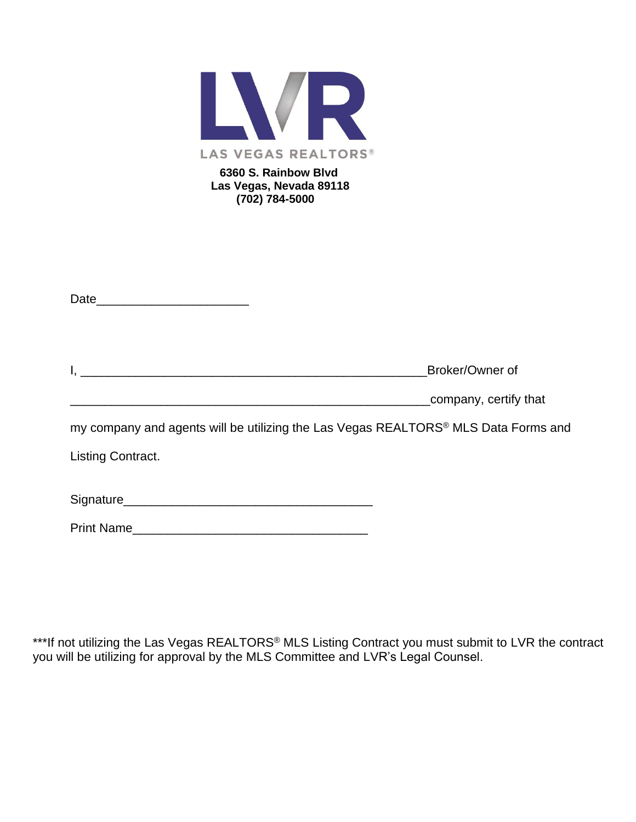

| <u> 2000 - Jan James James Jan James James James James James James James James James James James James James Jam</u> | Broker/Owner of                                                                    |
|----------------------------------------------------------------------------------------------------------------------|------------------------------------------------------------------------------------|
|                                                                                                                      | company, certify that                                                              |
|                                                                                                                      | my company and agents will be utilizing the Las Vegas REALTORS® MLS Data Forms and |
| Listing Contract.                                                                                                    |                                                                                    |
|                                                                                                                      |                                                                                    |
|                                                                                                                      |                                                                                    |
| <b>Print Name</b>                                                                                                    |                                                                                    |

\*\*\*If not utilizing the Las Vegas REALTORS® MLS Listing Contract you must submit to LVR the contract you will be utilizing for approval by the MLS Committee and LVR's Legal Counsel.